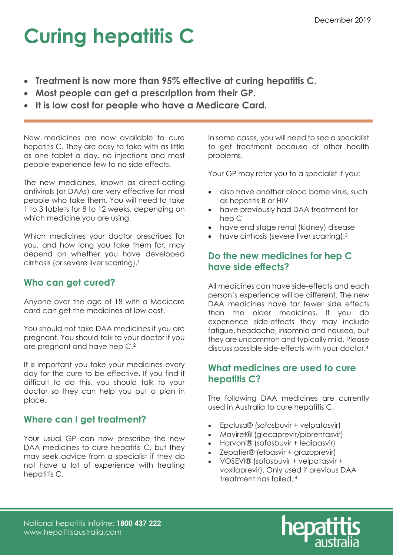# Curing hepatitis C

- Treatment is now more than 95% effective at curing hepatitis C.
- Most people can get a prescription from their GP.
- It is low cost for people who have a Medicare Card.

New medicines are now available to cure hepatitis C. They are easy to take with as little as one tablet a day, no injections and most people experience few to no side effects.

The new medicines, known as direct-acting antivirals (or DAAs) are very effective for most people who take them. You will need to take 1 to 3 tablets for 8 to 12 weeks, depending on which medicine you are using.

Which medicines your doctor prescribes for you, and how long you take them for, may depend on whether you have developed cirrhosis (or severe liver scarring).<sup>1</sup>

# Who can get cured?

Anyone over the age of 18 with a Medicare card can get the medicines at low cost.<sup>1</sup>

You should not take DAA medicines if you are pregnant. You should talk to your doctor if you are pregnant and have hep C.<sup>2</sup>

It is important you take your medicines every day for the cure to be effective. If you find it difficult to do this, you should talk to your doctor so they can help you put a plan in place.

## Where can I get treatment?

Your usual GP can now prescribe the new DAA medicines to cure hepatitis C, but they may seek advice from a specialist if they do not have a lot of experience with treating hepatitis C.

In some cases, you will need to see a specialist to get treatment because of other health problems.

Your GP may refer you to a specialist if you:

- also have another blood borne virus, such as hepatitis B or HIV
- have previously had DAA treatment for hep C
- have end stage renal (kidney) disease
- have cirrhosis (severe liver scarring).<sup>3</sup>

## Do the new medicines for hep C have side effects?

All medicines can have side-effects and each person's experience will be different. The new DAA medicines have far fewer side effects than the older medicines. If you do experience side-effects they may include fatigue, headache, insomnia and nausea, but they are uncommon and typically mild. Please discuss possible side-effects with your doctor.<sup>4</sup>

### What medicines are used to cure hepatitis C?

The following DAA medicines are currently used in Australia to cure hepatitis C.

- Epclusa® (sofosbuvir + velpatasvir)
- Maviret® (glecaprevir/pibrentasvir)
- Harvoni® (sofosbuvir + ledipasvir)
- Zepatier® (elbasvir + grazoprevir)
- VOSEVI® (sofosbuvir + velpatasvir + voxilaprevir). Only used if previous DAA treatment has failed. 4